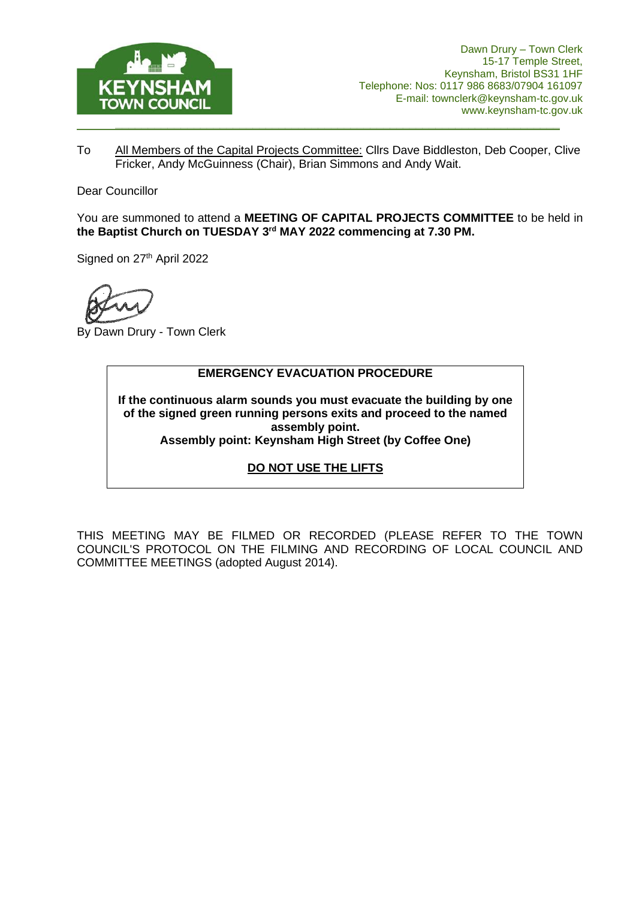

To All Members of the Capital Projects Committee: Cllrs Dave Biddleston, Deb Cooper, Clive Fricker, Andy McGuinness (Chair), Brian Simmons and Andy Wait.

Dear Councillor

You are summoned to attend a **MEETING OF CAPITAL PROJECTS COMMITTEE** to be held in **the Baptist Church on TUESDAY 3 rd MAY 2022 commencing at 7.30 PM.**

Signed on 27<sup>th</sup> April 2022

By Dawn Drury - Town Clerk

#### **EMERGENCY EVACUATION PROCEDURE**

**If the continuous alarm sounds you must evacuate the building by one of the signed green running persons exits and proceed to the named assembly point. Assembly point: Keynsham High Street (by Coffee One)**

#### **DO NOT USE THE LIFTS**

THIS MEETING MAY BE FILMED OR RECORDED (PLEASE REFER TO THE TOWN COUNCIL'S PROTOCOL ON THE FILMING AND RECORDING OF LOCAL COUNCIL AND COMMITTEE MEETINGS (adopted August 2014).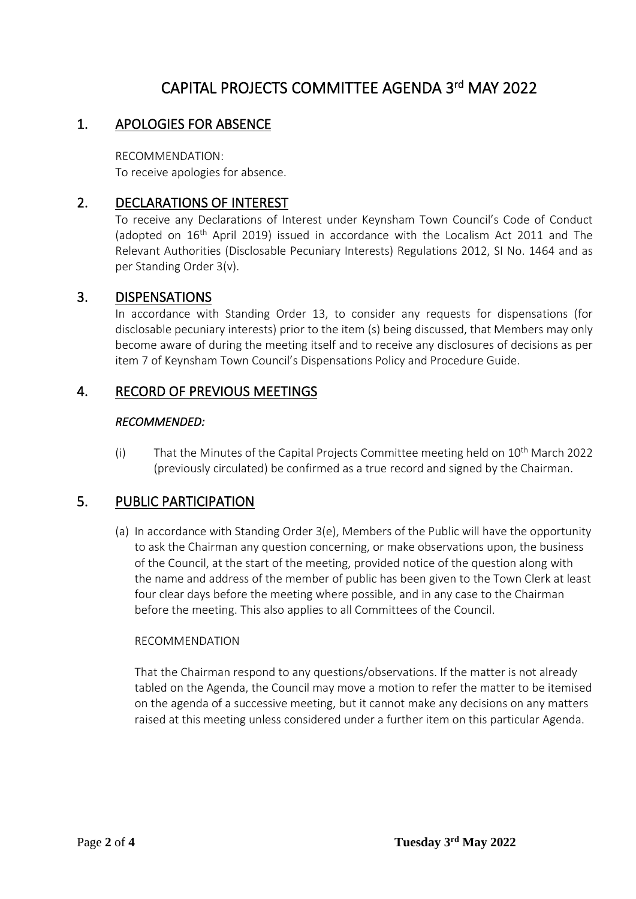# CAPITAL PROJECTS COMMITTEE AGENDA 3rd MAY 2022

## 1. APOLOGIES FOR ABSENCE

RECOMMENDATION: To receive apologies for absence.

## 2. DECLARATIONS OF INTEREST

To receive any Declarations of Interest under Keynsham Town Council's Code of Conduct (adopted on  $16<sup>th</sup>$  April 2019) issued in accordance with the Localism Act 2011 and The Relevant Authorities (Disclosable Pecuniary Interests) Regulations 2012, SI No. 1464 and as per Standing Order 3(v).

### 3. DISPENSATIONS

In accordance with Standing Order 13, to consider any requests for dispensations (for disclosable pecuniary interests) prior to the item (s) being discussed, that Members may only become aware of during the meeting itself and to receive any disclosures of decisions as per item 7 of Keynsham Town Council's Dispensations Policy and Procedure Guide.

## 4. RECORD OF PREVIOUS MEETINGS

#### *RECOMMENDED:*

(i) That the Minutes of the Capital Projects Committee meeting held on  $10^{th}$  March 2022 (previously circulated) be confirmed as a true record and signed by the Chairman.

## 5. PUBLIC PARTICIPATION

(a) In accordance with Standing Order 3(e), Members of the Public will have the opportunity to ask the Chairman any question concerning, or make observations upon, the business of the Council, at the start of the meeting, provided notice of the question along with the name and address of the member of public has been given to the Town Clerk at least four clear days before the meeting where possible, and in any case to the Chairman before the meeting. This also applies to all Committees of the Council.

#### RECOMMENDATION

That the Chairman respond to any questions/observations. If the matter is not already tabled on the Agenda, the Council may move a motion to refer the matter to be itemised on the agenda of a successive meeting, but it cannot make any decisions on any matters raised at this meeting unless considered under a further item on this particular Agenda.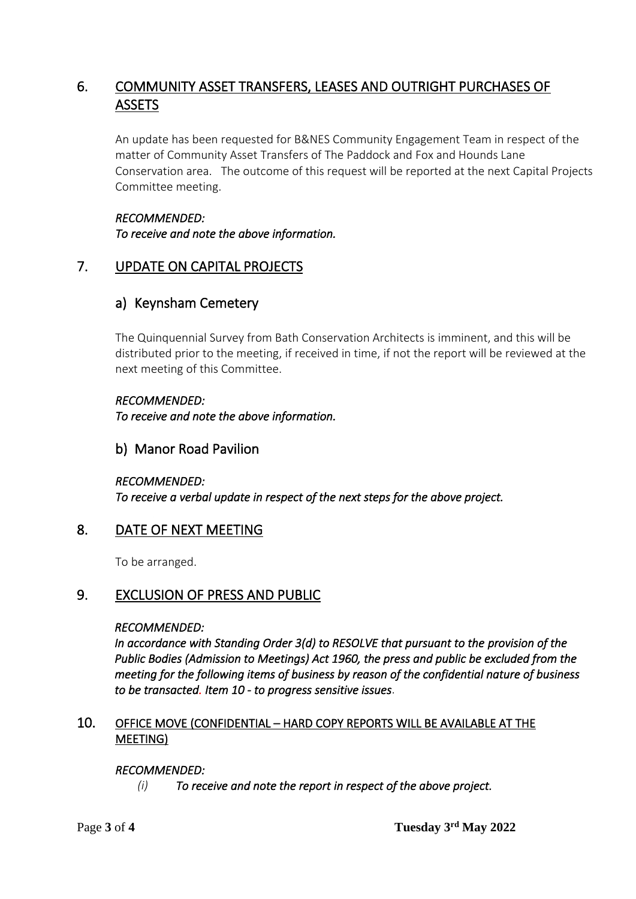## 6. COMMUNITY ASSET TRANSFERS, LEASES AND OUTRIGHT PURCHASES OF **ASSETS**

An update has been requested for B&NES Community Engagement Team in respect of the matter of Community Asset Transfers of The Paddock and Fox and Hounds Lane Conservation area. The outcome of this request will be reported at the next Capital Projects Committee meeting.

*RECOMMENDED: To receive and note the above information.* 

## 7. UPDATE ON CAPITAL PROJECTS

## a) Keynsham Cemetery

The Quinquennial Survey from Bath Conservation Architects is imminent, and this will be distributed prior to the meeting, if received in time, if not the report will be reviewed at the next meeting of this Committee.

### *RECOMMENDED:*

*To receive and note the above information.*

## b) Manor Road Pavilion

## *RECOMMENDED:*

*To receive a verbal update in respect of the next steps for the above project.* 

## 8. DATE OF NEXT MEETING

To be arranged.

## 9. EXCLUSION OF PRESS AND PUBLIC

#### *RECOMMENDED:*

*In accordance with Standing Order 3(d) to RESOLVE that pursuant to the provision of the Public Bodies (Admission to Meetings) Act 1960, the press and public be excluded from the meeting for the following items of business by reason of the confidential nature of business to be transacted. Item 10 - to progress sensitive issues*.

### 10. OFFICE MOVE (CONFIDENTIAL – HARD COPY REPORTS WILL BE AVAILABLE AT THE MEETING)

## *RECOMMENDED:*

*(i) To receive and note the report in respect of the above project.*